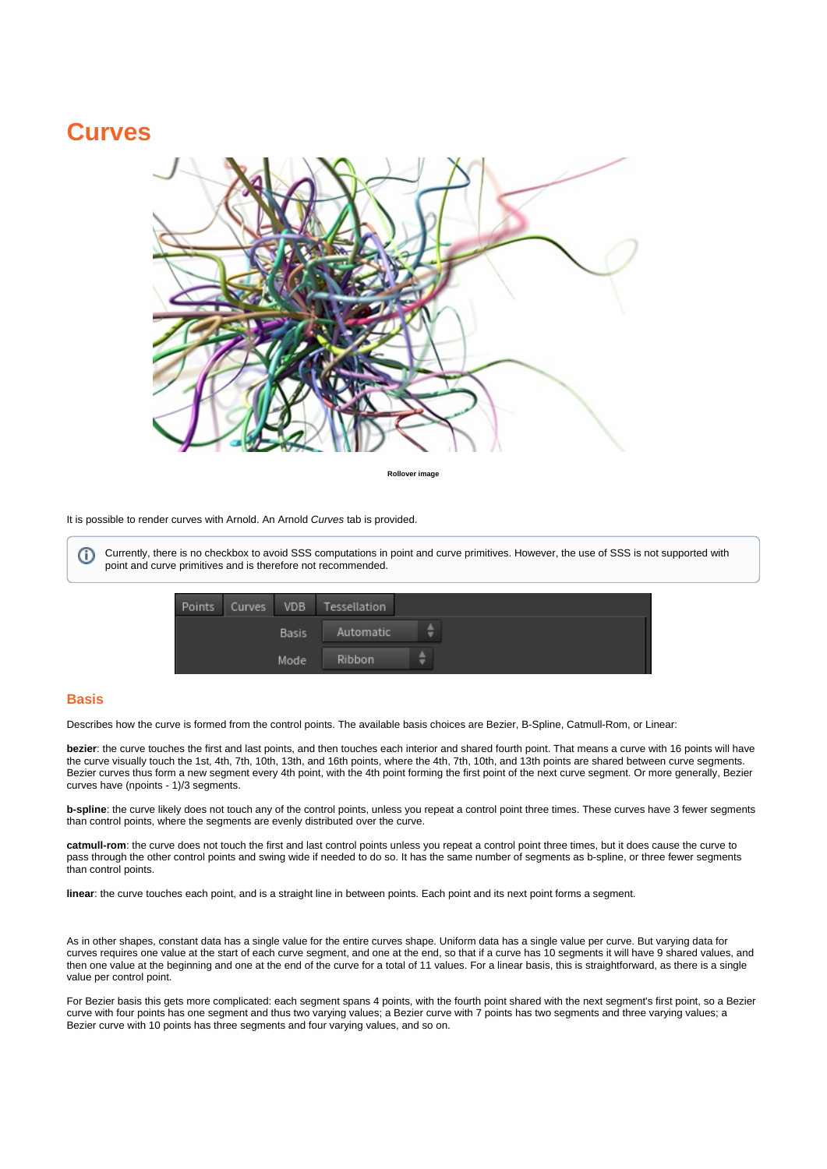# **Curves**



**Rollover image**

#### It is possible to render curves with Arnold. An Arnold Curves tab is provided.

Currently, there is no checkbox to avoid SSS computations in point and curve primitives. However, the use of SSS is not supported with point and curve primitives and is therefore not recommended.

| Points | Curves | VDB          | Tessellation  |   |
|--------|--------|--------------|---------------|---|
|        |        | <b>Basis</b> | Automatic     | ÷ |
|        |        | Mode         | <b>Ribbon</b> | ٠ |

#### **Basis**

ന

Describes how the curve is formed from the control points. The available basis choices are Bezier, B-Spline, Catmull-Rom, or Linear:

**bezier**: the curve touches the first and last points, and then touches each interior and shared fourth point. That means a curve with 16 points will have the curve visually touch the 1st, 4th, 7th, 10th, 13th, and 16th points, where the 4th, 7th, 10th, and 13th points are shared between curve segments. Bezier curves thus form a new segment every 4th point, with the 4th point forming the first point of the next curve segment. Or more generally, Bezier curves have (npoints - 1)/3 segments.

**b-spline**: the curve likely does not touch any of the control points, unless you repeat a control point three times. These curves have 3 fewer segments than control points, where the segments are evenly distributed over the curve.

**catmull-rom**: the curve does not touch the first and last control points unless you repeat a control point three times, but it does cause the curve to pass through the other control points and swing wide if needed to do so. It has the same number of segments as b-spline, or three fewer segments than control points.

**linear**: the curve touches each point, and is a straight line in between points. Each point and its next point forms a segment.

As in other shapes, constant data has a single value for the entire curves shape. Uniform data has a single value per curve. But varying data for curves requires one value at the start of each curve segment, and one at the end, so that if a curve has 10 segments it will have 9 shared values, and then one value at the beginning and one at the end of the curve for a total of 11 values. For a linear basis, this is straightforward, as there is a single value per control point.

For Bezier basis this gets more complicated: each segment spans 4 points, with the fourth point shared with the next segment's first point, so a Bezier curve with four points has one segment and thus two varying values; a Bezier curve with 7 points has two segments and three varying values; a Bezier curve with 10 points has three segments and four varying values, and so on.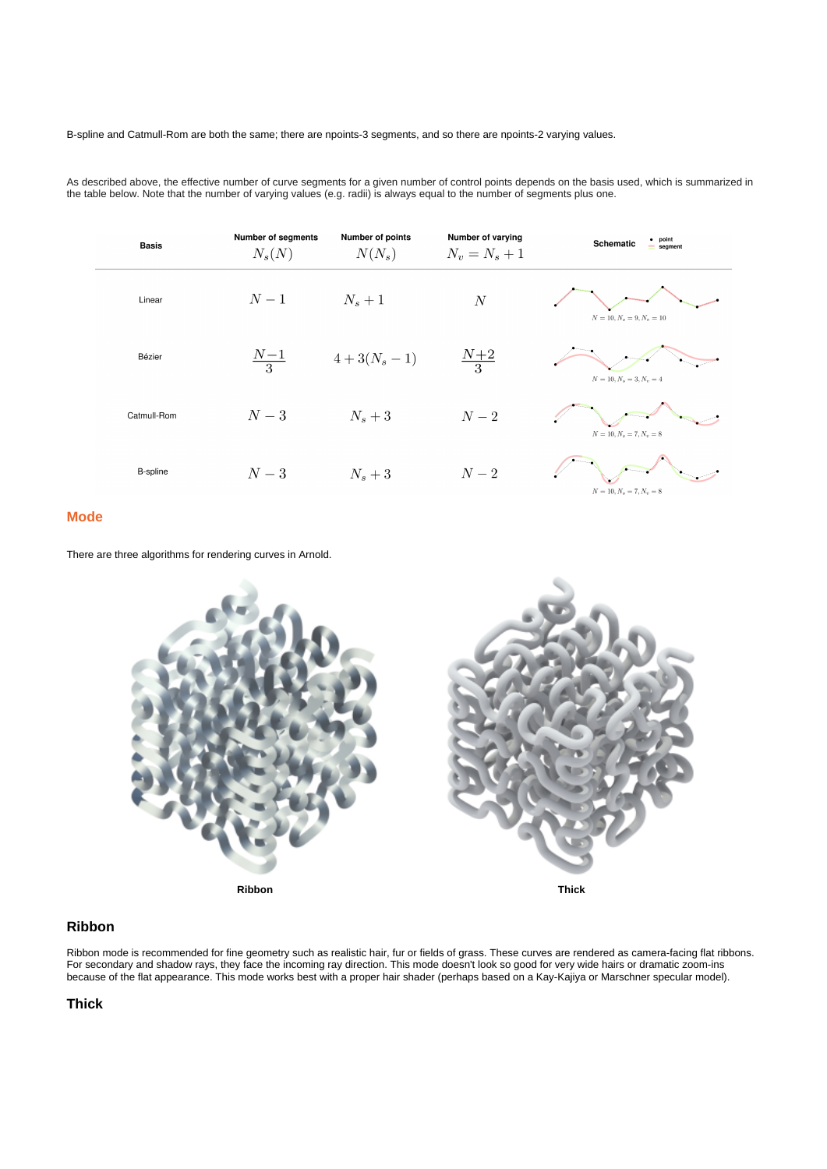# B-spline and Catmull-Rom are both the same; there are npoints-3 segments, and so there are npoints-2 varying values.

As described above, the effective number of curve segments for a given number of control points depends on the basis used, which is summarized in the table below. Note that the number of varying values (e.g. radii) is always equal to the number of segments plus one.

| <b>Basis</b> | Number of segments<br>$N_s(N)$ | Number of points<br>$N(N_s)$ | Number of varying<br>$N_v = N_s + 1$ | $\bullet$ point<br>Schematic<br>$=$ segment |
|--------------|--------------------------------|------------------------------|--------------------------------------|---------------------------------------------|
| Linear       | $N-1$                          | $N_s+1$                      | $\cal N$                             | $N = 10, N_s = 9, N_v = 10$                 |
| Bézier       | $\frac{N-1}{3}$                | $4+3(N_s-1)$                 | $\frac{N+2}{3}$                      | $N = 10, N_s = 3, N_v = 4$                  |
| Catmull-Rom  | $N-3$                          | $N_s+3$                      | $N-2$                                | $N = 10, N_s = 7, N_v = 8$                  |
| B-spline     | $N-3$                          | $N_s+3$                      | $N-2$                                | $N = 10, N_s = 7, N_v = 8$                  |

# **Mode**

There are three algorithms for rendering curves in Arnold.



#### **Ribbon**

Ribbon mode is recommended for fine geometry such as realistic hair, fur or fields of grass. These curves are rendered as camera-facing flat ribbons. For secondary and shadow rays, they face the incoming ray direction. This mode doesn't look so good for very wide hairs or dramatic zoom-ins because of the flat appearance. This mode works best with a proper hair shader (perhaps based on a Kay-Kajiya or Marschner specular model).

## **Thick**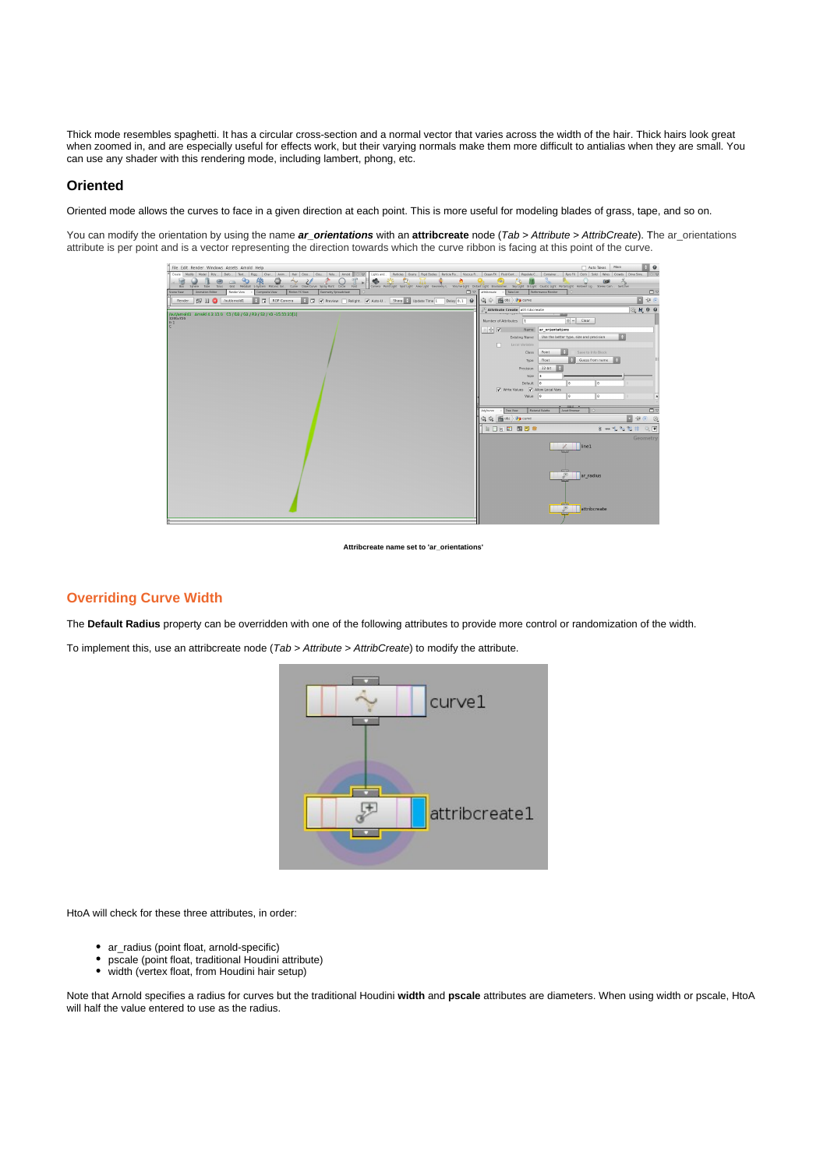Thick mode resembles spaghetti. It has a circular cross-section and a normal vector that varies across the width of the hair. Thick hairs look great when zoomed in, and are especially useful for effects work, but their varying normals make them more difficult to antialias when they are small. You can use any shader with this rendering mode, including lambert, phong, etc.

#### **Oriented**

Oriented mode allows the curves to face in a given direction at each point. This is more useful for modeling blades of grass, tape, and so on.

You can modify the orientation by using the name **ar\_orientations** with an **attribcreate** node (Tab > Attribute > AttribCreate). The ar\_orientations attribute is per point and is a vector representing the direction towards which the curve ribbon is facing at this point of the curve.



**Attribcreate name set to 'ar\_orientations'**

### **Overriding Curve Width**

The **Default Radius** property can be overridden with one of the following attributes to provide more control or randomization of the width.

To implement this, use an attribcreate node (Tab > Attribute > AttribCreate) to modify the attribute.



HtoA will check for these three attributes, in order:

- ar\_radius (point float, arnold-specific)
- pscale (point float, traditional Houdini attribute)
- $\bullet$ width (vertex float, from Houdini hair setup)

Note that Arnold specifies a radius for curves but the traditional Houdini **width** and **pscale** attributes are diameters. When using width or pscale, HtoA will half the value entered to use as the radius.